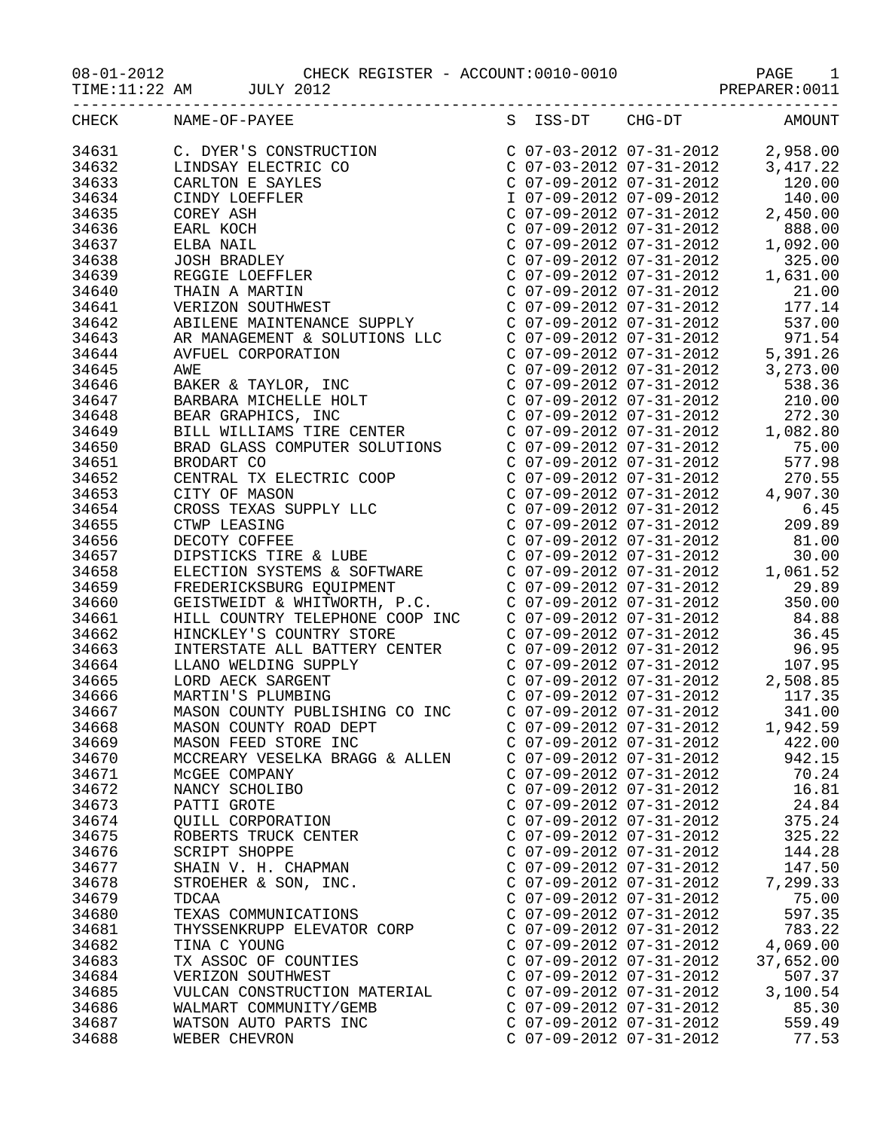08-01-2012 CHECK REGISTER - ACCOUNT:0010-0010 PAGE 1

|       | TIME:11:22 AM JULY 2012                                |                           |           |
|-------|--------------------------------------------------------|---------------------------|-----------|
|       | -------------------------------<br>CHECK NAME-OF-PAYEE |                           |           |
|       |                                                        |                           |           |
|       |                                                        |                           |           |
|       |                                                        |                           |           |
|       |                                                        |                           |           |
|       |                                                        |                           |           |
|       |                                                        |                           |           |
|       |                                                        |                           |           |
|       |                                                        |                           |           |
|       |                                                        |                           |           |
|       |                                                        |                           |           |
|       |                                                        |                           |           |
|       |                                                        |                           |           |
|       |                                                        |                           |           |
|       |                                                        |                           |           |
|       |                                                        |                           |           |
|       |                                                        |                           |           |
|       |                                                        |                           |           |
|       |                                                        |                           |           |
|       |                                                        |                           |           |
|       |                                                        |                           |           |
|       |                                                        |                           |           |
|       |                                                        |                           |           |
|       |                                                        |                           |           |
|       |                                                        |                           |           |
|       |                                                        |                           |           |
|       |                                                        |                           |           |
|       |                                                        |                           | 30.00     |
|       |                                                        |                           |           |
|       |                                                        |                           |           |
|       |                                                        |                           | 350.00    |
|       |                                                        |                           |           |
|       |                                                        |                           |           |
|       |                                                        |                           |           |
|       |                                                        |                           |           |
|       |                                                        |                           |           |
|       |                                                        |                           |           |
|       |                                                        |                           |           |
| 34668 | MASON COUNTY ROAD DEPT                                 | $C$ 07-09-2012 07-31-2012 | 1,942.59  |
| 34669 | MASON FEED STORE INC                                   | C 07-09-2012 07-31-2012   | 422.00    |
| 34670 | MCCREARY VESELKA BRAGG & ALLEN                         | $C$ 07-09-2012 07-31-2012 | 942.15    |
| 34671 | MCGEE COMPANY                                          | $C$ 07-09-2012 07-31-2012 | 70.24     |
| 34672 | NANCY SCHOLIBO                                         | $C$ 07-09-2012 07-31-2012 | 16.81     |
| 34673 | PATTI GROTE                                            | $C$ 07-09-2012 07-31-2012 | 24.84     |
| 34674 | QUILL CORPORATION                                      | C 07-09-2012 07-31-2012   | 375.24    |
| 34675 | ROBERTS TRUCK CENTER                                   | $C$ 07-09-2012 07-31-2012 | 325.22    |
| 34676 | SCRIPT SHOPPE                                          | $C$ 07-09-2012 07-31-2012 | 144.28    |
| 34677 | SHAIN V. H. CHAPMAN                                    | $C$ 07-09-2012 07-31-2012 | 147.50    |
| 34678 | STROEHER & SON, INC.                                   | C 07-09-2012 07-31-2012   | 7,299.33  |
| 34679 | TDCAA                                                  | C 07-09-2012 07-31-2012   | 75.00     |
| 34680 | TEXAS COMMUNICATIONS                                   | C 07-09-2012 07-31-2012   | 597.35    |
| 34681 | THYSSENKRUPP ELEVATOR CORP                             | C 07-09-2012 07-31-2012   | 783.22    |
| 34682 | TINA C YOUNG                                           | C 07-09-2012 07-31-2012   | 4,069.00  |
| 34683 | TX ASSOC OF COUNTIES                                   | C 07-09-2012 07-31-2012   | 37,652.00 |
| 34684 | VERIZON SOUTHWEST                                      | $C$ 07-09-2012 07-31-2012 | 507.37    |
| 34685 | VULCAN CONSTRUCTION MATERIAL                           | C 07-09-2012 07-31-2012   | 3,100.54  |
| 34686 | WALMART COMMUNITY/GEMB                                 | C 07-09-2012 07-31-2012   | 85.30     |
| 34687 | WATSON AUTO PARTS INC                                  | $C$ 07-09-2012 07-31-2012 | 559.49    |
| 34688 | WEBER CHEVRON                                          | C 07-09-2012 07-31-2012   | 77.53     |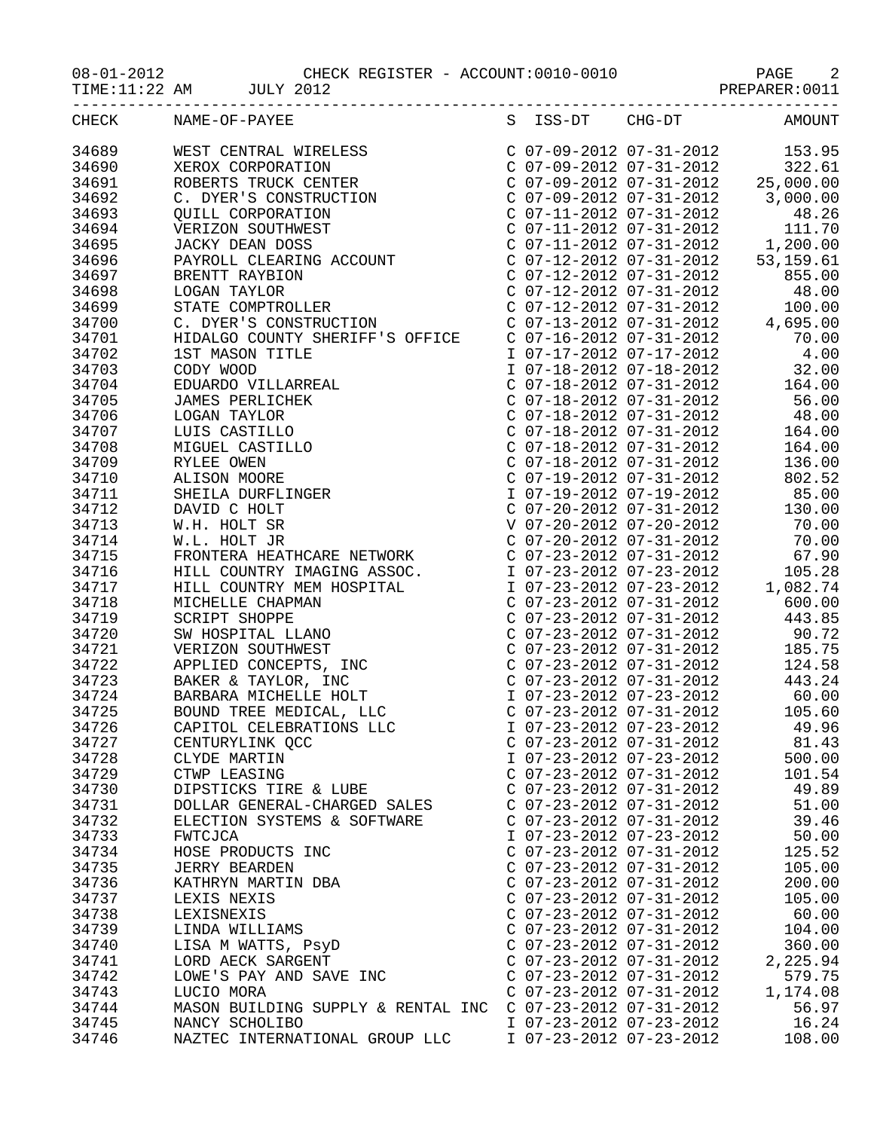| TIME:11:22 AM JULY 2012 |                      |                                                                                                                                                                 |                                                        |                                                                 |
|-------------------------|----------------------|-----------------------------------------------------------------------------------------------------------------------------------------------------------------|--------------------------------------------------------|-----------------------------------------------------------------|
| CHECK NAME-OF-PAYEE     |                      |                                                                                                                                                                 |                                                        | S ISS-DT CHG-DT AMOUNT                                          |
| 34689                   |                      |                                                                                                                                                                 |                                                        |                                                                 |
| 34690                   |                      |                                                                                                                                                                 |                                                        |                                                                 |
| 34691                   |                      |                                                                                                                                                                 |                                                        |                                                                 |
| 34692                   |                      |                                                                                                                                                                 |                                                        |                                                                 |
| 34693                   |                      |                                                                                                                                                                 |                                                        |                                                                 |
| 34694                   |                      |                                                                                                                                                                 |                                                        |                                                                 |
| 34695                   |                      |                                                                                                                                                                 |                                                        |                                                                 |
| 34696                   |                      |                                                                                                                                                                 |                                                        |                                                                 |
| 34697                   |                      |                                                                                                                                                                 |                                                        |                                                                 |
| 34698                   |                      |                                                                                                                                                                 |                                                        |                                                                 |
| 34699                   |                      |                                                                                                                                                                 |                                                        |                                                                 |
| 34700                   |                      |                                                                                                                                                                 |                                                        |                                                                 |
| 34701                   |                      |                                                                                                                                                                 |                                                        |                                                                 |
|                         |                      |                                                                                                                                                                 |                                                        |                                                                 |
|                         |                      |                                                                                                                                                                 |                                                        |                                                                 |
|                         |                      | HIDALGO COUNTY SHERIFF'S OFFICE<br>1 07-17-2012 07-31-2012<br>1 07-17-2012 07-17-2012<br>2 32.00<br>2 107-18-2012 07-18-2012<br>2 32.00<br>2 164.00<br>2 164.00 |                                                        |                                                                 |
|                         |                      |                                                                                                                                                                 |                                                        |                                                                 |
|                         |                      |                                                                                                                                                                 |                                                        |                                                                 |
|                         |                      |                                                                                                                                                                 |                                                        |                                                                 |
|                         |                      |                                                                                                                                                                 |                                                        |                                                                 |
|                         |                      |                                                                                                                                                                 |                                                        |                                                                 |
|                         |                      |                                                                                                                                                                 |                                                        | C $07-19-2012$ $07-31-2012$ 802.52                              |
|                         |                      |                                                                                                                                                                 |                                                        |                                                                 |
|                         |                      |                                                                                                                                                                 |                                                        |                                                                 |
|                         |                      |                                                                                                                                                                 |                                                        |                                                                 |
|                         |                      |                                                                                                                                                                 |                                                        |                                                                 |
|                         |                      |                                                                                                                                                                 |                                                        |                                                                 |
|                         |                      |                                                                                                                                                                 |                                                        |                                                                 |
|                         |                      |                                                                                                                                                                 |                                                        |                                                                 |
|                         |                      |                                                                                                                                                                 |                                                        |                                                                 |
|                         |                      |                                                                                                                                                                 |                                                        |                                                                 |
|                         |                      |                                                                                                                                                                 |                                                        |                                                                 |
|                         |                      |                                                                                                                                                                 |                                                        |                                                                 |
|                         |                      |                                                                                                                                                                 |                                                        |                                                                 |
|                         |                      |                                                                                                                                                                 |                                                        |                                                                 |
|                         |                      |                                                                                                                                                                 |                                                        | I 07-23-2012 07-23-2012 60.00<br>C 07-23-2012 07-31-2012 105.60 |
| 34726                   |                      | CAPITOL CELEBRATIONS LLC                                                                                                                                        | I 07-23-2012 07-23-2012                                | 49.96                                                           |
| 34727                   |                      | CENTURYLINK QCC                                                                                                                                                 | $C$ 07-23-2012 07-31-2012                              | 81.43                                                           |
| 34728                   | CLYDE MARTIN         |                                                                                                                                                                 | I 07-23-2012 07-23-2012                                | 500.00                                                          |
| 34729                   | CTWP LEASING         |                                                                                                                                                                 | $C$ 07-23-2012 07-31-2012                              | 101.54                                                          |
| 34730                   |                      | DIPSTICKS TIRE & LUBE                                                                                                                                           | $C$ 07-23-2012 07-31-2012                              | 49.89                                                           |
| 34731                   |                      | DOLLAR GENERAL-CHARGED SALES                                                                                                                                    | $C$ 07-23-2012 07-31-2012                              | 51.00                                                           |
| 34732                   |                      | ELECTION SYSTEMS & SOFTWARE                                                                                                                                     | $C$ 07-23-2012 07-31-2012                              | 39.46                                                           |
| 34733                   | FWTCJCA              |                                                                                                                                                                 | I 07-23-2012 07-23-2012                                | 50.00                                                           |
| 34734                   |                      | HOSE PRODUCTS INC                                                                                                                                               | $C$ 07-23-2012 07-31-2012                              | 125.52                                                          |
| 34735                   | <b>JERRY BEARDEN</b> |                                                                                                                                                                 | $C$ 07-23-2012 07-31-2012                              | 105.00                                                          |
| 34736                   |                      |                                                                                                                                                                 | $C$ 07-23-2012 07-31-2012                              | 200.00                                                          |
| 34737                   |                      |                                                                                                                                                                 | $C$ 07-23-2012 07-31-2012                              | 105.00                                                          |
| 34738                   |                      | JERRY BEARDEN<br>KATHRYN MARTIN DBA<br>LEXIS NEXIS<br>LEXISNEXIS<br>LINDA WILLIAMS<br>LISA M WATTS, PSY <sup>D</sup>                                            | $C$ 07-23-2012 07-31-2012                              | 60.00                                                           |
| 34739                   |                      |                                                                                                                                                                 | $C$ 07-23-2012 07-31-2012                              | 104.00                                                          |
| 34740                   |                      |                                                                                                                                                                 | $C$ 07-23-2012 07-31-2012                              | 360.00                                                          |
| 34741                   |                      | LORD AECK SARGENT                                                                                                                                               | $C$ 07-23-2012 07-31-2012<br>$C$ 07-23-2012 07-31-2012 | 2,225.94<br>579.75                                              |
| 34742<br>34743          | LUCIO MORA           | LOWE'S PAY AND SAVE INC                                                                                                                                         | $C$ 07-23-2012 07-31-2012                              | 1,174.08                                                        |
| 34744                   |                      | MASON BUILDING SUPPLY & RENTAL INC C 07-23-2012 07-31-2012                                                                                                      |                                                        | 56.97                                                           |
| 34745                   | NANCY SCHOLIBO       |                                                                                                                                                                 | I 07-23-2012 07-23-2012                                | 16.24                                                           |
| 34746                   |                      | NAZTEC INTERNATIONAL GROUP LLC                                                                                                                                  | I 07-23-2012 07-23-2012                                | 108.00                                                          |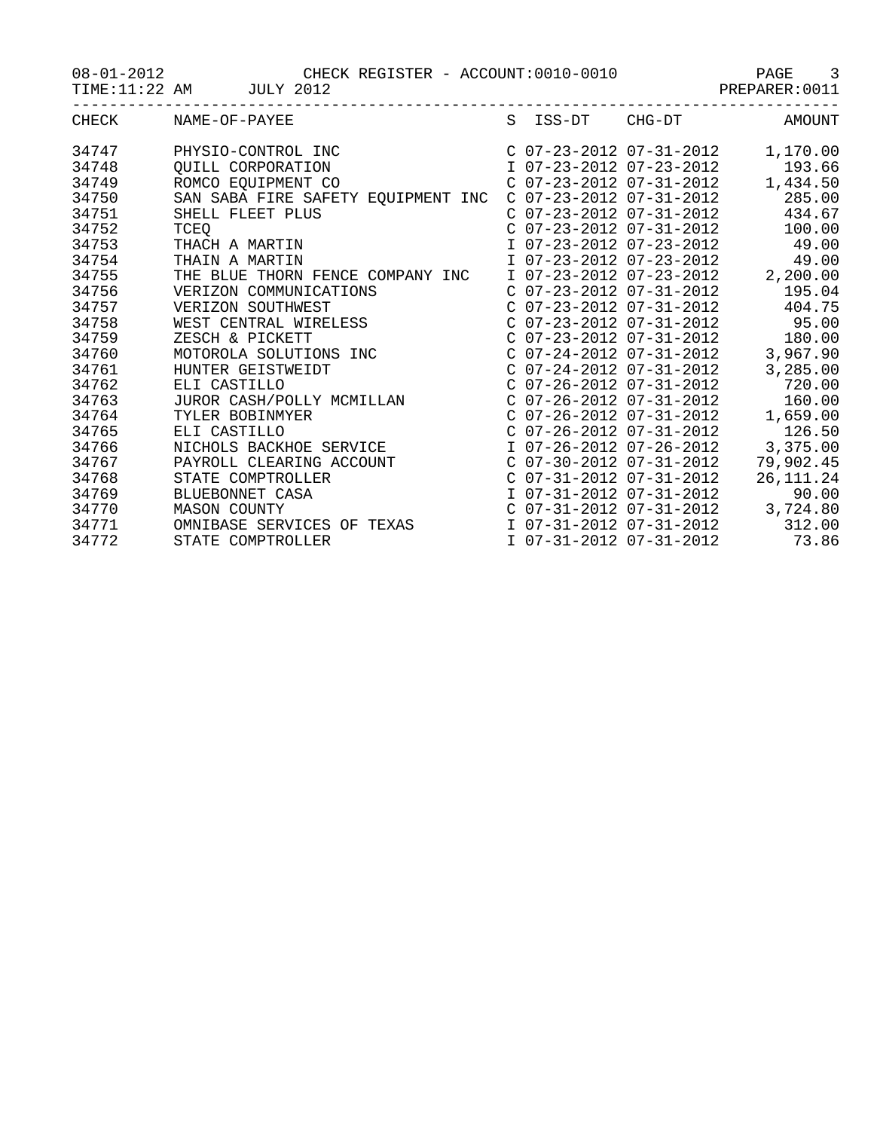08-01-2012 CHECK REGISTER - ACCOUNT:0010-0010 PAGE 3

TIME:11:22 AM JULY 2012 PREPARER:0011

| CHECK | NAME-OF-PAYEE                                                                           |                           | S ISS-DT CHG-DT           | AMOUNT                          |
|-------|-----------------------------------------------------------------------------------------|---------------------------|---------------------------|---------------------------------|
| 34747 | PHYSIO-CONTROL INC                                                                      |                           | C 07-23-2012 07-31-2012   | 1,170.00                        |
| 34748 | <b>QUILL CORPORATION</b>                                                                |                           | I 07-23-2012 07-23-2012   | 193.66                          |
| 34749 | ROMCO EQUIPMENT CO                                                                      |                           | $C$ 07-23-2012 07-31-2012 | 1,434.50                        |
| 34750 | SAN SABA FIRE SAFETY EQUIPMENT INC                                                      |                           | $C$ 07-23-2012 07-31-2012 | 285.00                          |
| 34751 | SHELL FLEET PLUS                                                                        |                           | C 07-23-2012 07-31-2012   | 434.67                          |
| 34752 | TCEO                                                                                    |                           | $C$ 07-23-2012 07-31-2012 | 100.00                          |
| 34753 | THACH A MARTIN                                                                          |                           | I 07-23-2012 07-23-2012   | 49.00                           |
| 34754 | THAIN A MARTIN                                                                          |                           | I 07-23-2012 07-23-2012   | 49.00                           |
| 34755 | THE BLUE THORN FENCE COMPANY INC                                                        |                           | I 07-23-2012 07-23-2012   | 2,200.00                        |
| 34756 | VERIZON COMMUNICATIONS                                                                  |                           | C 07-23-2012 07-31-2012   | 195.04                          |
| 34757 |                                                                                         |                           | C 07-23-2012 07-31-2012   | 404.75                          |
| 34758 | VERIZON COMMUNICATIONS<br>VERIZON SOUTHWEST<br>WEST CENTRAL WIRELESS<br>ZESCH & PICKETT |                           |                           | $C$ 07-23-2012 07-31-2012 95.00 |
| 34759 |                                                                                         |                           | $C$ 07-23-2012 07-31-2012 | 180.00                          |
| 34760 | MOTOROLA SOLUTIONS INC<br>HUNTER GEISTWEIDT<br>ELI CASTILLO                             |                           | $C$ 07-24-2012 07-31-2012 | 3,967.90                        |
| 34761 |                                                                                         |                           | $C$ 07-24-2012 07-31-2012 | 3,285.00                        |
| 34762 | ELI CASTILLO                                                                            |                           | C 07-26-2012 07-31-2012   | 720.00                          |
| 34763 | JUROR CASH/POLLY MCMILLAN                                                               |                           | $C$ 07-26-2012 07-31-2012 | 160.00                          |
| 34764 | TYLER BOBINMYER                                                                         |                           | $C$ 07-26-2012 07-31-2012 | 1,659.00                        |
| 34765 | ELI CASTILLO                                                                            |                           | $C$ 07-26-2012 07-31-2012 | 126.50                          |
| 34766 | NICHOLS BACKHOE SERVICE                                                                 |                           | I 07-26-2012 07-26-2012   | 3,375.00                        |
| 34767 | PAYROLL CLEARING ACCOUNT                                                                |                           | $C$ 07-30-2012 07-31-2012 | 79,902.45                       |
| 34768 | STATE COMPTROLLER                                                                       | $C$ 07-31-2012 07-31-2012 |                           | 26, 111. 24                     |
| 34769 | BLUEBONNET CASA                                                                         |                           | I 07-31-2012 07-31-2012   | 90.00                           |
| 34770 | <b>MASON COUNTY</b>                                                                     |                           | $C$ 07-31-2012 07-31-2012 | 3,724.80                        |
| 34771 | OMNIBASE SERVICES OF TEXAS                                                              |                           | I 07-31-2012 07-31-2012   | 312.00                          |
| 34772 | STATE COMPTROLLER                                                                       | I 07-31-2012 07-31-2012   |                           | 73.86                           |